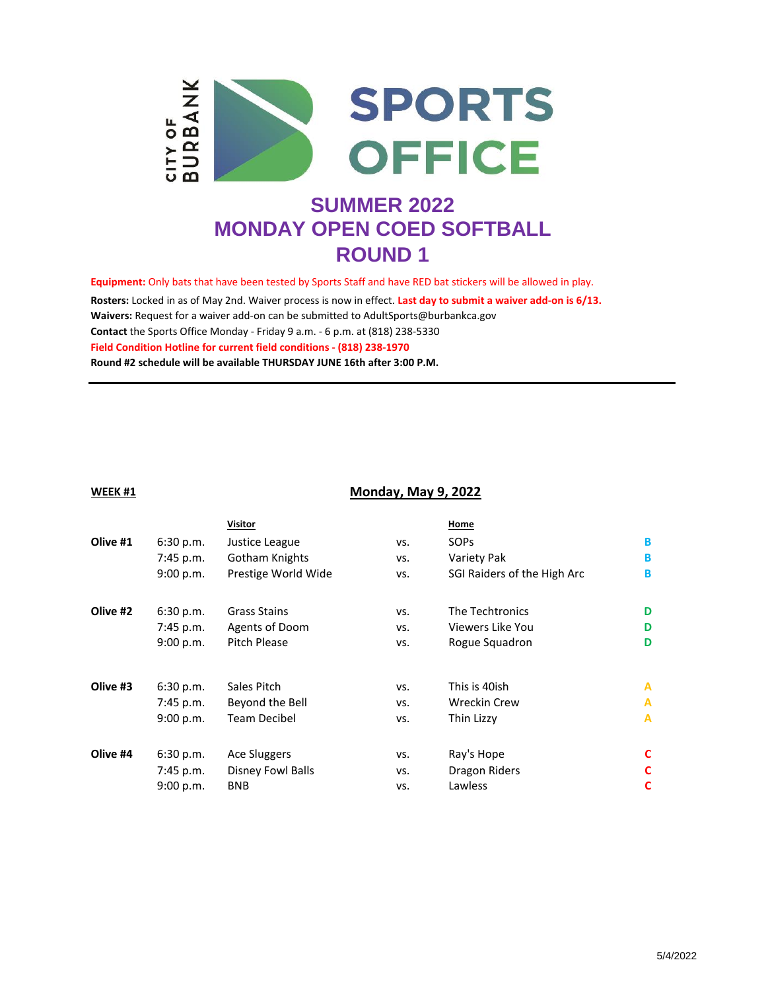

**Equipment:** Only bats that have been tested by Sports Staff and have RED bat stickers will be allowed in play.

**Waivers:** Request for a waiver add-on can be submitted to AdultSports@burbankca.gov **Contact** the Sports Office Monday - Friday 9 a.m. - 6 p.m. at (818) 238-5330 **Round #2 schedule will be available THURSDAY JUNE 16th after 3:00 P.M. Rosters:** Locked in as of May 2nd. Waiver process is now in effect. **Last day to submit a waiver add-on is 6/13. Field Condition Hotline for current field conditions - (818) 238-1970**

#### **WEEK #1**

### **Monday, May 9, 2022**

|          |           | <b>Visitor</b>      |     | Home                        |   |
|----------|-----------|---------------------|-----|-----------------------------|---|
| Olive #1 | 6:30 p.m. | Justice League      | VS. | <b>SOPS</b>                 | B |
|          | 7:45 p.m. | Gotham Knights      | VS. | Variety Pak                 | B |
|          | 9:00 p.m. | Prestige World Wide | VS. | SGI Raiders of the High Arc | B |
| Olive #2 | 6:30 p.m. | Grass Stains        | VS. | The Techtronics             | D |
|          | 7:45 p.m. | Agents of Doom      | VS. | Viewers Like You            | D |
|          | 9:00 p.m. | Pitch Please        | VS. | Rogue Squadron              | D |
| Olive #3 | 6:30 p.m. | Sales Pitch         | VS. | This is 40ish               | A |
|          | 7:45 p.m. | Beyond the Bell     | VS. | <b>Wreckin Crew</b>         | A |
|          | 9:00 p.m. | <b>Team Decibel</b> | VS. | Thin Lizzy                  | A |
| Olive #4 | 6:30 p.m. | Ace Sluggers        | VS. | Ray's Hope                  | C |
|          | 7:45 p.m. | Disney Fowl Balls   | VS. | Dragon Riders               | C |
|          | 9:00 p.m. | <b>BNB</b>          | VS. | Lawless                     | C |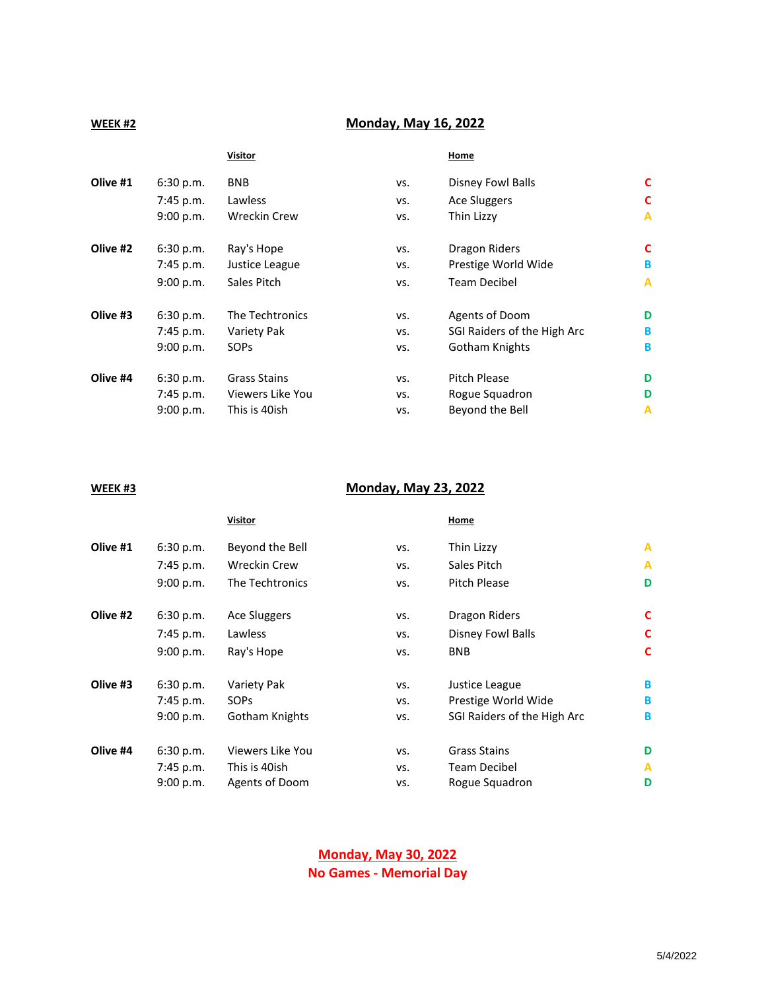## **WEEK #2**

# **Monday, May 16, 2022**

### **Visitor Constitution Constitution Constitution Constitution Constitution Constitution Constitution Constitution**

| Olive #1 | 6:30 p.m.   | <b>BNB</b>          | VS. | Disney Fowl Balls           | C            |
|----------|-------------|---------------------|-----|-----------------------------|--------------|
|          | $7:45$ p.m. | Lawless             | VS. | Ace Sluggers                | C            |
|          | 9:00 p.m.   | <b>Wreckin Crew</b> | VS. | Thin Lizzy                  | $\mathbf{A}$ |
| Olive #2 | 6:30 p.m.   | Ray's Hope          | VS. | Dragon Riders               | C            |
|          | 7:45 p.m.   | Justice League      | VS. | Prestige World Wide         | B            |
|          | 9:00 p.m.   | Sales Pitch         | VS. | <b>Team Decibel</b>         | $\mathbf{A}$ |
| Olive #3 | 6:30 p.m.   | The Techtronics     | VS. | Agents of Doom              | D            |
|          | 7:45 p.m.   | Variety Pak         | VS. | SGI Raiders of the High Arc | B            |
|          | 9:00 p.m.   | <b>SOPS</b>         | VS. | Gotham Knights              | B            |
| Olive #4 | 6:30 p.m.   | <b>Grass Stains</b> | VS. | <b>Pitch Please</b>         | D            |
|          | 7:45 p.m.   | Viewers Like You    | VS. | Rogue Squadron              | D            |
|          | 9:00 p.m.   | This is 40ish       | VS. | Beyond the Bell             | A            |
|          |             |                     |     |                             |              |

### **WEEK #3**

# **Monday, May 23, 2022**

|          |             | <b>Visitor</b>      |     | Home                        |   |
|----------|-------------|---------------------|-----|-----------------------------|---|
| Olive #1 | 6:30 p.m.   | Beyond the Bell     | VS. | Thin Lizzy                  | A |
|          | 7:45 p.m.   | <b>Wreckin Crew</b> | VS. | Sales Pitch                 | A |
|          | 9:00 p.m.   | The Techtronics     | VS. | Pitch Please                | D |
| Olive #2 | 6:30 p.m.   | <b>Ace Sluggers</b> | VS. | Dragon Riders               | C |
|          | $7:45$ p.m. | Lawless             | VS. | Disney Fowl Balls           | C |
|          | 9:00 p.m.   | Ray's Hope          | VS. | <b>BNB</b>                  | C |
| Olive #3 | 6:30 p.m.   | Variety Pak         | VS. | Justice League              | В |
|          | 7:45 p.m.   | <b>SOPS</b>         | VS. | Prestige World Wide         | B |
|          | 9:00 p.m.   | Gotham Knights      | VS. | SGI Raiders of the High Arc | B |
| Olive #4 | 6:30 p.m.   | Viewers Like You    | VS. | <b>Grass Stains</b>         | D |
|          | 7:45 p.m.   | This is 40ish       | VS. | <b>Team Decibel</b>         | A |
|          | 9:00 p.m.   | Agents of Doom      | VS. | Rogue Squadron              | D |
|          |             |                     |     |                             |   |

**Monday, May 30, 2022 No Games - Memorial Day**